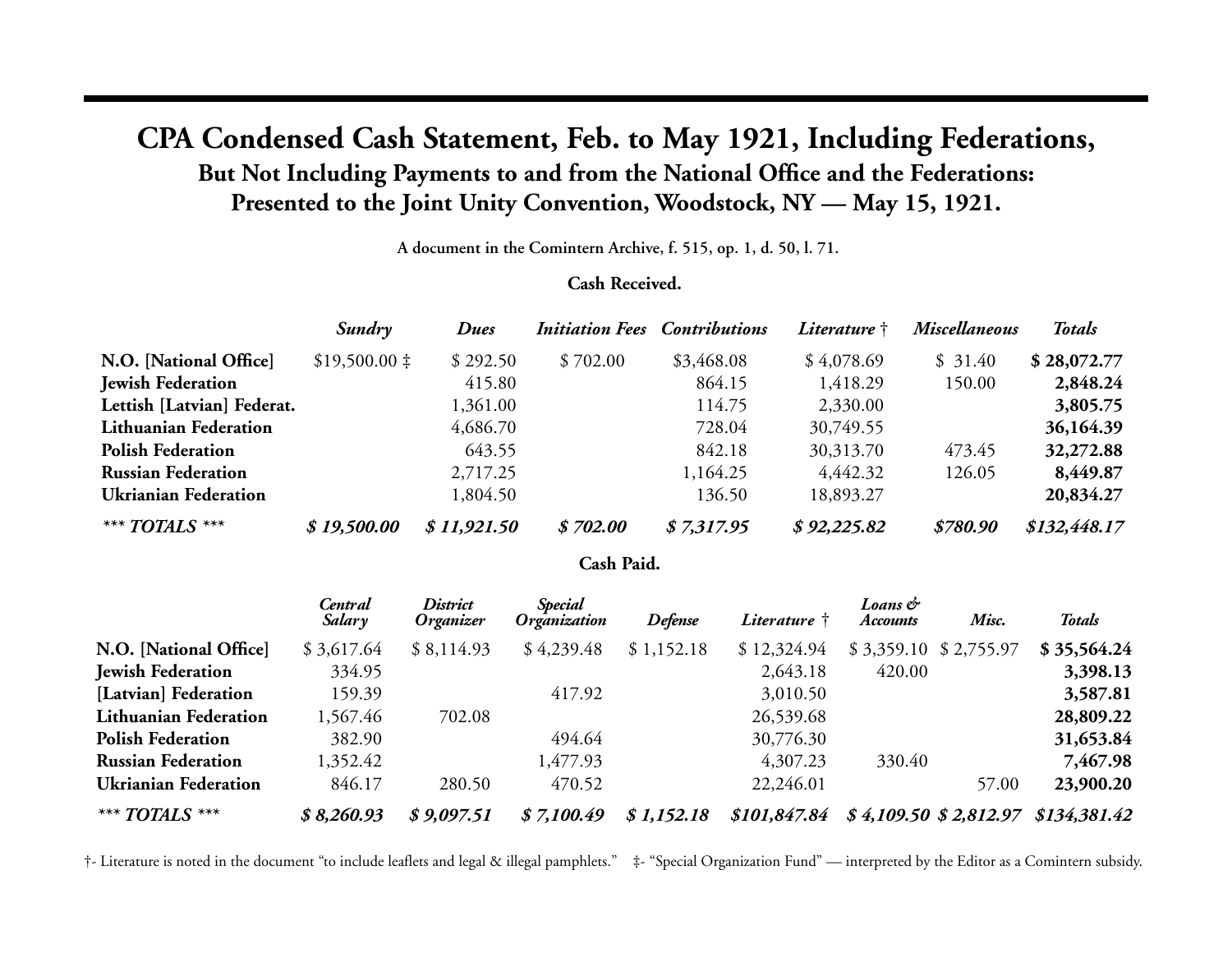## **CPA Condensed Cash Statement, Feb. to May 1921, Including Federations, But Not Including Payments to and from the National Office and the Federations: Presented to the Joint Unity Convention, Woodstock, NY — May 15, 1921.**

**A document in the Comintern Archive, f. 515, op. 1, d. 50, l. 71.**

## **Cash Received.**

|                            | Sundry            | <b>Dues</b> |          | <b>Initiation Fees Contributions</b> | Literature † | <b>Miscellaneous</b> | <b>Totals</b> |
|----------------------------|-------------------|-------------|----------|--------------------------------------|--------------|----------------------|---------------|
| N.O. [National Office]     | $$19,500.00 \;$ ‡ | \$292.50    | \$702.00 | \$3,468.08                           | \$4,078.69   | \$31.40              | \$28,072.77   |
| <b>Jewish Federation</b>   |                   | 415.80      |          | 864.15                               | 1,418.29     | 150.00               | 2,848.24      |
| Lettish [Latvian] Federat. |                   | 1,361.00    |          | 114.75                               | 2,330.00     |                      | 3,805.75      |
| Lithuanian Federation      |                   | 4,686.70    |          | 728.04                               | 30,749.55    |                      | 36,164.39     |
| <b>Polish Federation</b>   |                   | 643.55      |          | 842.18                               | 30,313.70    | 473.45               | 32,272.88     |
| <b>Russian Federation</b>  |                   | 2,717.25    |          | 1,164.25                             | 4,442.32     | 126.05               | 8,449.87      |
| Ukrianian Federation       |                   | 1,804.50    |          | 136.50                               | 18,893.27    |                      | 20,834.27     |
| *** TOTALS ***             | \$19,500.00       | \$11,921.50 | \$702.00 | \$7,317.95                           | \$92,225.82  | \$780.90             | \$132,448.17  |

## **Cash Paid.**

|                             | Central<br>Salary | District<br>Organizer | <b>Special</b><br>Organization | <b>Defense</b> | Literature † | Loans &<br><b>Accounts</b> | Misc.      | <b>Totals</b>                       |
|-----------------------------|-------------------|-----------------------|--------------------------------|----------------|--------------|----------------------------|------------|-------------------------------------|
| N.O. [National Office]      | \$3,617.64        | \$8,114.93            | \$4,239.48                     | \$1,152.18     | \$12,324.94  | \$3,359.10                 | \$2,755.97 | \$35,564.24                         |
| <b>Jewish Federation</b>    | 334.95            |                       |                                |                | 2,643.18     | 420.00                     |            | 3,398.13                            |
| [Latvian] Federation        | 159.39            |                       | 417.92                         |                | 3,010.50     |                            |            | 3,587.81                            |
| Lithuanian Federation       | 1,567.46          | 702.08                |                                |                | 26,539.68    |                            |            | 28,809.22                           |
| <b>Polish Federation</b>    | 382.90            |                       | 494.64                         |                | 30,776.30    |                            |            | 31,653.84                           |
| <b>Russian Federation</b>   | 1,352.42          |                       | 1,477.93                       |                | 4,307.23     | 330.40                     |            | 7,467.98                            |
| <b>Ukrianian Federation</b> | 846.17            | 280.50                | 470.52                         |                | 22,246.01    |                            | 57.00      | 23,900.20                           |
| *** TOTALS ***              | \$8,260.93        | \$9,097.51            | \$7,100.49                     | \$1,152.18     | \$101,847.84 |                            |            | $$4,109.50 \$2,812.97 \$134,381.42$ |

†- Literature is noted in the document "to include leaflets and legal & illegal pamphlets." ‡- "Special Organization Fund" — interpreted by the Editor as a Comintern subsidy.